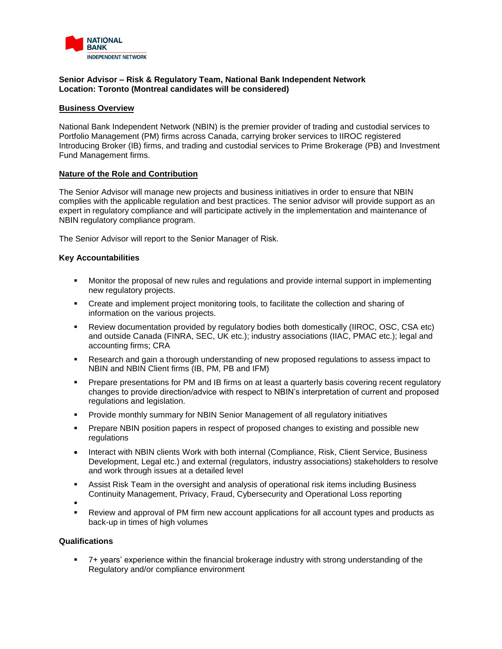

### **Senior Advisor – Risk & Regulatory Team, National Bank Independent Network Location: Toronto (Montreal candidates will be considered)**

#### **Business Overview**

National Bank Independent Network (NBIN) is the premier provider of trading and custodial services to Portfolio Management (PM) firms across Canada, carrying broker services to IIROC registered Introducing Broker (IB) firms, and trading and custodial services to Prime Brokerage (PB) and Investment Fund Management firms.

#### **Nature of the Role and Contribution**

The Senior Advisor will manage new projects and business initiatives in order to ensure that NBIN complies with the applicable regulation and best practices. The senior advisor will provide support as an expert in regulatory compliance and will participate actively in the implementation and maintenance of NBIN regulatory compliance program.

The Senior Advisor will report to the Senior Manager of Risk.

# **Key Accountabilities**

- Monitor the proposal of new rules and regulations and provide internal support in implementing new regulatory projects.
- Create and implement project monitoring tools, to facilitate the collection and sharing of information on the various projects.
- Review documentation provided by regulatory bodies both domestically (IIROC, OSC, CSA etc) and outside Canada (FINRA, SEC, UK etc.); industry associations (IIAC, PMAC etc.); legal and accounting firms; CRA
- Research and gain a thorough understanding of new proposed regulations to assess impact to NBIN and NBIN Client firms (IB, PM, PB and IFM)
- **•** Prepare presentations for PM and IB firms on at least a quarterly basis covering recent regulatory changes to provide direction/advice with respect to NBIN's interpretation of current and proposed regulations and legislation.
- Provide monthly summary for NBIN Senior Management of all regulatory initiatives
- Prepare NBIN position papers in respect of proposed changes to existing and possible new regulations
- Interact with NBIN clients Work with both internal (Compliance, Risk, Client Service, Business Development, Legal etc.) and external (regulators, industry associations) stakeholders to resolve and work through issues at a detailed level
- Assist Risk Team in the oversight and analysis of operational risk items including Business Continuity Management, Privacy, Fraud, Cybersecurity and Operational Loss reporting
- ▪
- Review and approval of PM firm new account applications for all account types and products as back-up in times of high volumes

# **Qualifications**

▪ 7+ years' experience within the financial brokerage industry with strong understanding of the Regulatory and/or compliance environment